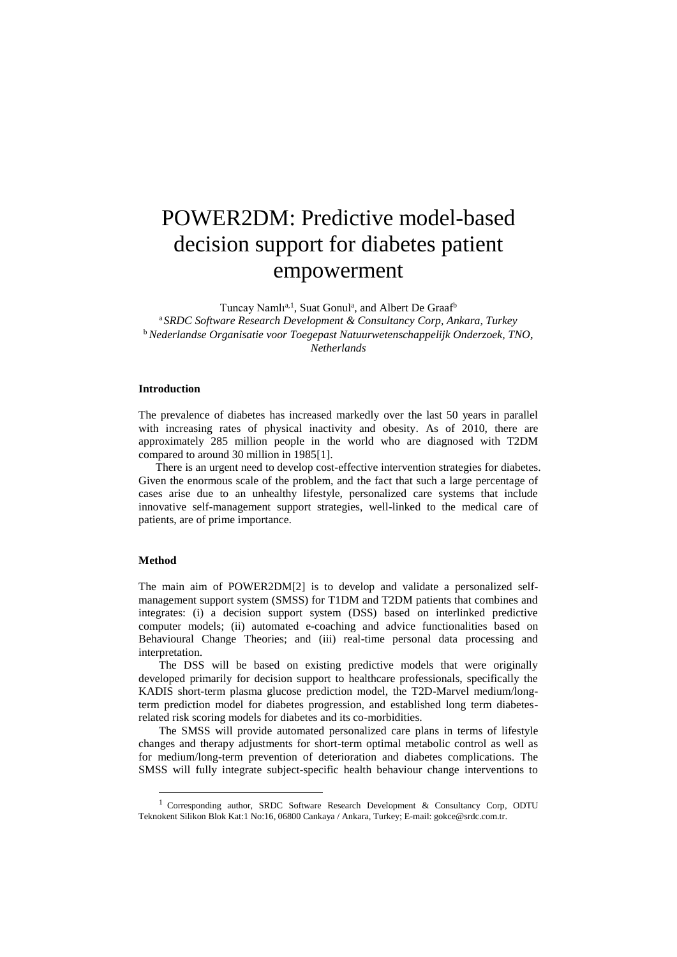# POWER2DM: Predictive model-based decision support for diabetes patient empowerment

Tuncay Namlı<sup>a, 1</sup>, Suat Gonul<sup>a</sup>, and Albert De Graaf<sup>b</sup> <sup>a</sup>*SRDC Software Research Development & Consultancy Corp, Ankara, Turkey* <sup>b</sup> *Nederlandse Organisatie voor Toegepast Natuurwetenschappelijk Onderzoek, TNO, Netherlands*

## **Introduction**

The prevalence of diabetes has increased markedly over the last 50 years in parallel with increasing rates of physical inactivity and obesity. As of 2010, there are approximately 285 million people in the world who are diagnosed with T2DM compared to around 30 million in 198[5\[1\].](#page-1-0)

 There is an urgent need to develop cost-effective intervention strategies for diabetes. Given the enormous scale of the problem, and the fact that such a large percentage of cases arise due to an unhealthy lifestyle, personalized care systems that include innovative self-management support strategies, well-linked to the medical care of patients, are of prime importance.

## **Method**

1

The main aim of POWER2D[M\[2\]](#page-1-1) is to develop and validate a personalized selfmanagement support system (SMSS) for T1DM and T2DM patients that combines and integrates: (i) a decision support system (DSS) based on interlinked predictive computer models; (ii) automated e-coaching and advice functionalities based on Behavioural Change Theories; and (iii) real-time personal data processing and interpretation.

The DSS will be based on existing predictive models that were originally developed primarily for decision support to healthcare professionals, specifically the KADIS short-term plasma glucose prediction model, the T2D-Marvel medium/longterm prediction model for diabetes progression, and established long term diabetesrelated risk scoring models for diabetes and its co-morbidities.

The SMSS will provide automated personalized care plans in terms of lifestyle changes and therapy adjustments for short-term optimal metabolic control as well as for medium/long-term prevention of deterioration and diabetes complications. The SMSS will fully integrate subject-specific health behaviour change interventions to

<sup>1</sup> Corresponding author, SRDC Software Research Development & Consultancy Corp, ODTU Teknokent Silikon Blok Kat:1 No:16, 06800 Cankaya / Ankara, Turkey; E-mail: gokce@srdc.com.tr.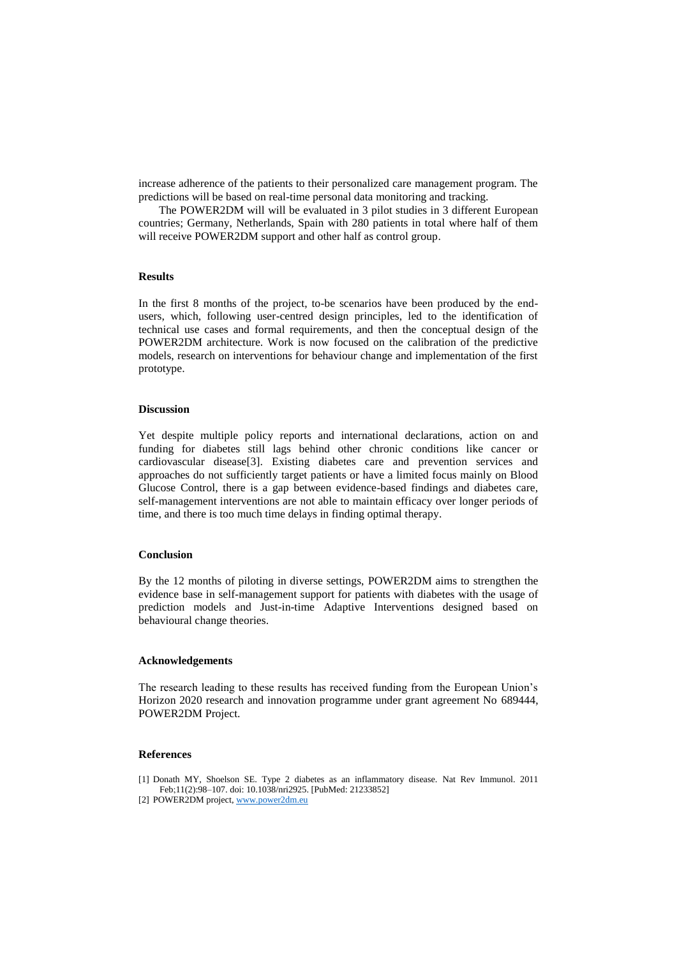increase adherence of the patients to their personalized care management program. The predictions will be based on real-time personal data monitoring and tracking.

The POWER2DM will will be evaluated in 3 pilot studies in 3 different European countries; Germany, Netherlands, Spain with 280 patients in total where half of them will receive POWER2DM support and other half as control group.

## **Results**

In the first 8 months of the project, to-be scenarios have been produced by the endusers, which, following user-centred design principles, led to the identification of technical use cases and formal requirements, and then the conceptual design of the POWER2DM architecture. Work is now focused on the calibration of the predictive models, research on interventions for behaviour change and implementation of the first prototype.

## **Discussion**

Yet despite multiple policy reports and international declarations, action on and funding for diabetes still lags behind other chronic conditions like cancer or cardiovascular diseas[e\[3\].](#page-2-0) Existing diabetes care and prevention services and approaches do not sufficiently target patients or have a limited focus mainly on Blood Glucose Control, there is a gap between evidence-based findings and diabetes care, self-management interventions are not able to maintain efficacy over longer periods of time, and there is too much time delays in finding optimal therapy.

### **Conclusion**

By the 12 months of piloting in diverse settings, POWER2DM aims to strengthen the evidence base in self-management support for patients with diabetes with the usage of prediction models and Just-in-time Adaptive Interventions designed based on behavioural change theories.

### **Acknowledgements**

The research leading to these results has received funding from the European Union's Horizon 2020 research and innovation programme under grant agreement No 689444, POWER2DM Project.

## **References**

- <span id="page-1-0"></span>[1] Donath MY, Shoelson SE. Type 2 diabetes as an inflammatory disease. Nat Rev Immunol. 2011 Feb;11(2):98–107. doi: 10.1038/nri2925. [PubMed: 21233852]
- <span id="page-1-1"></span>[2] POWER2DM project, [www.power2dm.eu](http://www.power2dm.eu/)